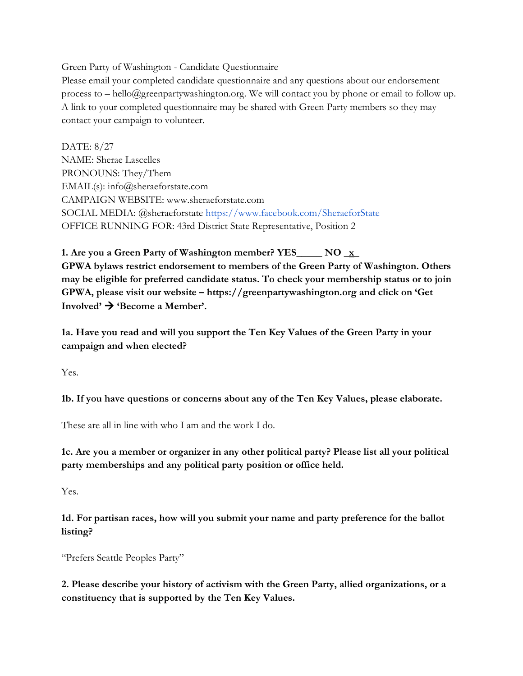Green Party of Washington - Candidate Questionnaire

Please email your completed candidate questionnaire and any questions about our endorsement process to – hello@greenpartywashington.org. We will contact you by phone or email to follow up. A link to your completed questionnaire may be shared with Green Party members so they may contact your campaign to volunteer.

DATE: 8/27 NAME: Sherae Lascelles PRONOUNS: They/Them EMAIL(s): info@sheraeforstate.com CAMPAIGN WEBSITE: www.sheraeforstate.com SOCIAL MEDIA: @sheraeforstate <https://www.facebook.com/SheraeforState> OFFICE RUNNING FOR: 43rd District State Representative, Position 2

**1. Are you a Green Party of Washington member? YES\_\_\_\_\_ NO \_x\_ GPWA bylaws restrict endorsement to members of the Green Party of Washington. Others may be eligible for preferred candidate status. To check your membership status or to join GPWA, please visit our website – https://greenpartywashington.org and click on 'Get**  $\text{Involved'} \rightarrow \text{`Because a Member'.}$ 

**1a. Have you read and will you support the Ten Key Values of the Green Party in your campaign and when elected?**

Yes.

**1b. If you have questions or concerns about any of the Ten Key Values, please elaborate.**

These are all in line with who I am and the work I do.

**1c. Are you a member or organizer in any other political party? Please list all your political party memberships and any political party position or office held.**

Yes.

**1d. For partisan races, how will you submit your name and party preference for the ballot listing?**

"Prefers Seattle Peoples Party"

**2. Please describe your history of activism with the Green Party, allied organizations, or a constituency that is supported by the Ten Key Values.**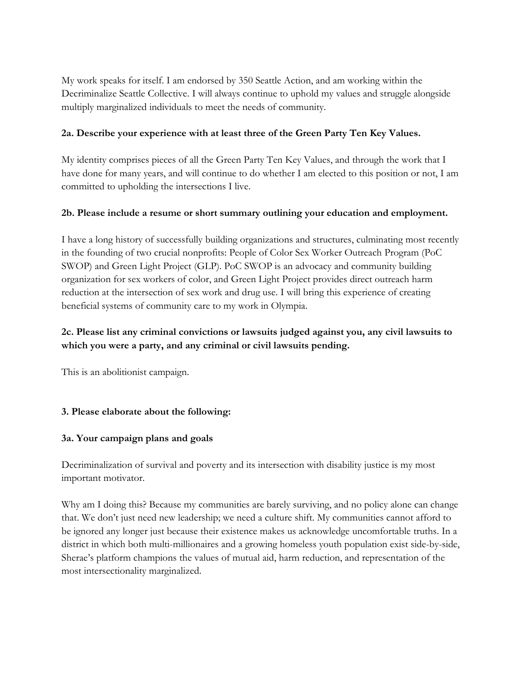My work speaks for itself. I am endorsed by 350 Seattle Action, and am working within the Decriminalize Seattle Collective. I will always continue to uphold my values and struggle alongside multiply marginalized individuals to meet the needs of community.

### **2a. Describe your experience with at least three of the Green Party Ten Key Values.**

My identity comprises pieces of all the Green Party Ten Key Values, and through the work that I have done for many years, and will continue to do whether I am elected to this position or not, I am committed to upholding the intersections I live.

### **2b. Please include a resume or short summary outlining your education and employment.**

I have a long history of successfully building organizations and structures, culminating most recently in the founding of two crucial nonprofits: People of Color Sex Worker Outreach Program (PoC SWOP) and Green Light Project (GLP). PoC SWOP is an advocacy and community building organization for sex workers of color, and Green Light Project provides direct outreach harm reduction at the intersection of sex work and drug use. I will bring this experience of creating beneficial systems of community care to my work in Olympia.

## **2c. Please list any criminal convictions or lawsuits judged against you, any civil lawsuits to which you were a party, and any criminal or civil lawsuits pending.**

This is an abolitionist campaign.

## **3. Please elaborate about the following:**

#### **3a. Your campaign plans and goals**

Decriminalization of survival and poverty and its intersection with disability justice is my most important motivator.

Why am I doing this? Because my communities are barely surviving, and no policy alone can change that. We don't just need new leadership; we need a culture shift. My communities cannot afford to be ignored any longer just because their existence makes us acknowledge uncomfortable truths. In a district in which both multi-millionaires and a growing homeless youth population exist side-by-side, Sherae's platform champions the values of mutual aid, harm reduction, and representation of the most intersectionality marginalized.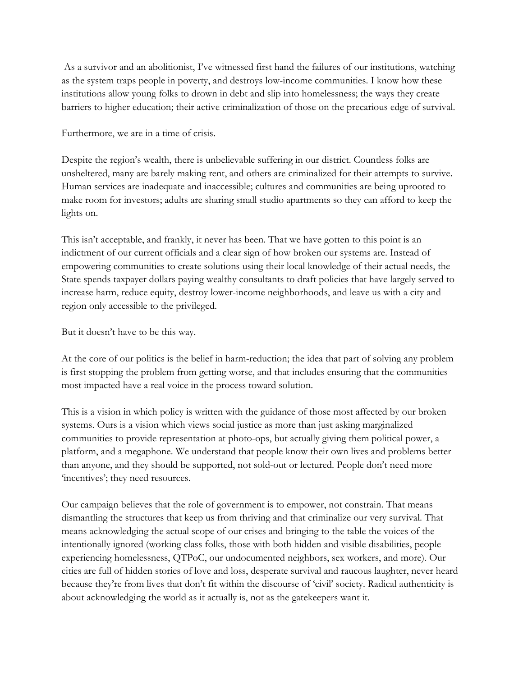As a survivor and an abolitionist, I've witnessed first hand the failures of our institutions, watching as the system traps people in poverty, and destroys low-income communities. I know how these institutions allow young folks to drown in debt and slip into homelessness; the ways they create barriers to higher education; their active criminalization of those on the precarious edge of survival.

Furthermore, we are in a time of crisis.

Despite the region's wealth, there is unbelievable suffering in our district. Countless folks are unsheltered, many are barely making rent, and others are criminalized for their attempts to survive. Human services are inadequate and inaccessible; cultures and communities are being uprooted to make room for investors; adults are sharing small studio apartments so they can afford to keep the lights on.

This isn't acceptable, and frankly, it never has been. That we have gotten to this point is an indictment of our current officials and a clear sign of how broken our systems are. Instead of empowering communities to create solutions using their local knowledge of their actual needs, the State spends taxpayer dollars paying wealthy consultants to draft policies that have largely served to increase harm, reduce equity, destroy lower-income neighborhoods, and leave us with a city and region only accessible to the privileged.

But it doesn't have to be this way.

At the core of our politics is the belief in harm-reduction; the idea that part of solving any problem is first stopping the problem from getting worse, and that includes ensuring that the communities most impacted have a real voice in the process toward solution.

This is a vision in which policy is written with the guidance of those most affected by our broken systems. Ours is a vision which views social justice as more than just asking marginalized communities to provide representation at photo-ops, but actually giving them political power, a platform, and a megaphone. We understand that people know their own lives and problems better than anyone, and they should be supported, not sold-out or lectured. People don't need more 'incentives'; they need resources.

Our campaign believes that the role of government is to empower, not constrain. That means dismantling the structures that keep us from thriving and that criminalize our very survival. That means acknowledging the actual scope of our crises and bringing to the table the voices of the intentionally ignored (working class folks, those with both hidden and visible disabilities, people experiencing homelessness, QTPoC, our undocumented neighbors, sex workers, and more). Our cities are full of hidden stories of love and loss, desperate survival and raucous laughter, never heard because they're from lives that don't fit within the discourse of 'civil' society. Radical authenticity is about acknowledging the world as it actually is, not as the gatekeepers want it.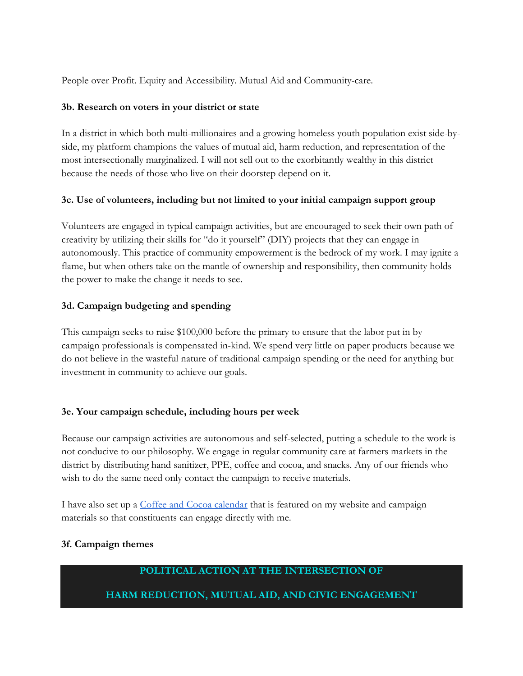People over Profit. Equity and Accessibility. Mutual Aid and Community-care.

#### **3b. Research on voters in your district or state**

In a district in which both multi-millionaires and a growing homeless youth population exist side-byside, my platform champions the values of mutual aid, harm reduction, and representation of the most intersectionally marginalized. I will not sell out to the exorbitantly wealthy in this district because the needs of those who live on their doorstep depend on it.

### **3c. Use of volunteers, including but not limited to your initial campaign support group**

Volunteers are engaged in typical campaign activities, but are encouraged to seek their own path of creativity by utilizing their skills for "do it yourself" (DIY) projects that they can engage in autonomously. This practice of community empowerment is the bedrock of my work. I may ignite a flame, but when others take on the mantle of ownership and responsibility, then community holds the power to make the change it needs to see.

### **3d. Campaign budgeting and spending**

This campaign seeks to raise \$100,000 before the primary to ensure that the labor put in by campaign professionals is compensated in-kind. We spend very little on paper products because we do not believe in the wasteful nature of traditional campaign spending or the need for anything but investment in community to achieve our goals.

#### **3e. Your campaign schedule, including hours per week**

Because our campaign activities are autonomous and self-selected, putting a schedule to the work is not conducive to our philosophy. We engage in regular community care at farmers markets in the district by distributing hand sanitizer, PPE, coffee and cocoa, and snacks. Any of our friends who wish to do the same need only contact the campaign to receive materials.

I have also set up a Coffee and Cocoa [calendar](https://www.sheraeforstate.com/coffeecocoa) that is featured on my website and campaign materials so that constituents can engage directly with me.

#### **3f. Campaign themes**

## **POLITICAL ACTION AT THE INTERSECTION OF**

## **HARM REDUCTION, MUTUAL AID, AND CIVIC ENGAGEMENT**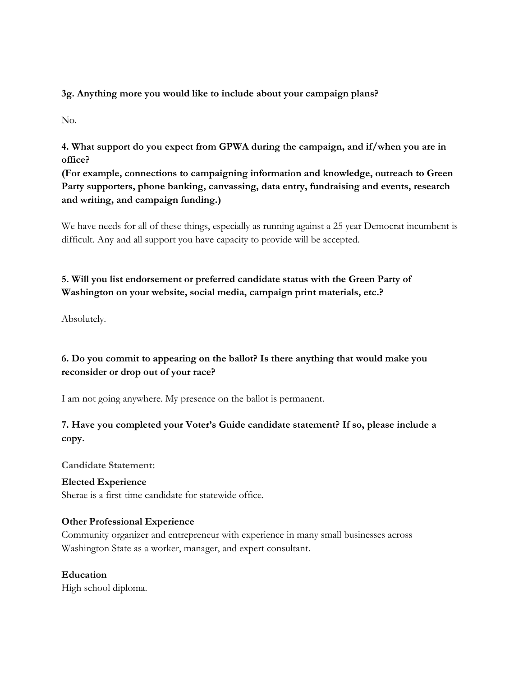**3g. Anything more you would like to include about your campaign plans?**

No.

**4. What support do you expect from GPWA during the campaign, and if/when you are in office?**

**(For example, connections to campaigning information and knowledge, outreach to Green Party supporters, phone banking, canvassing, data entry, fundraising and events, research and writing, and campaign funding.)**

We have needs for all of these things, especially as running against a 25 year Democrat incumbent is difficult. Any and all support you have capacity to provide will be accepted.

# **5. Will you list endorsement or preferred candidate status with the Green Party of Washington on your website, social media, campaign print materials, etc.?**

Absolutely.

# **6. Do you commit to appearing on the ballot? Is there anything that would make you reconsider or drop out of your race?**

I am not going anywhere. My presence on the ballot is permanent.

# **7. Have you completed your Voter's Guide candidate statement? If so, please include a copy.**

**Candidate Statement:**

**Elected Experience** Sherae is a first-time candidate for statewide office.

## **Other Professional Experience**

Community organizer and entrepreneur with experience in many small businesses across Washington State as a worker, manager, and expert consultant.

## **Education**

High school diploma.